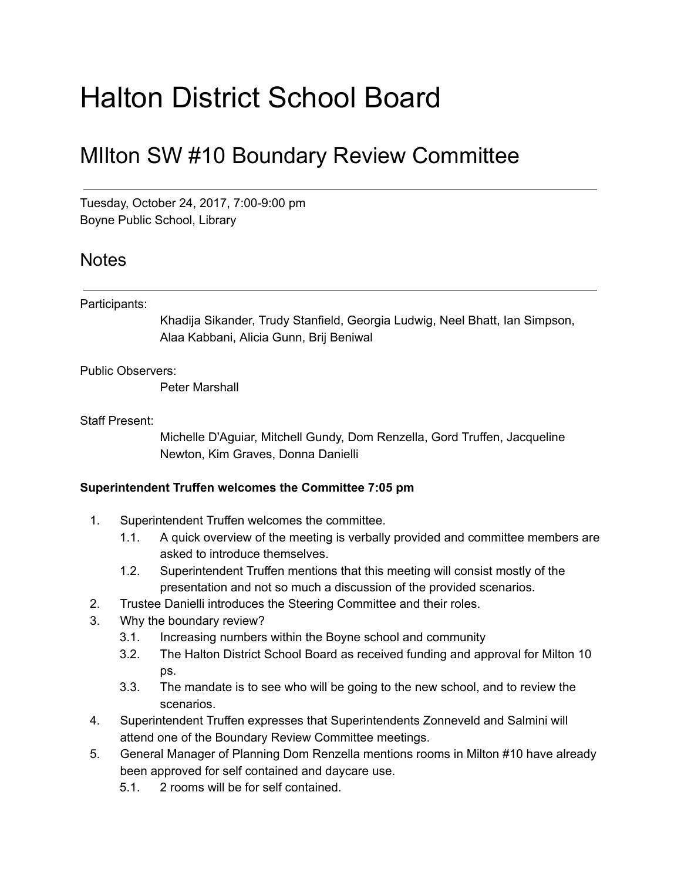# Halton District School Board

## MIlton SW #10 Boundary Review Committee

Tuesday, October 24, 2017, 7:00-9:00 pm Boyne Public School, Library

### **Notes**

#### Participants:

Khadija Sikander, Trudy Stanfield, Georgia Ludwig, Neel Bhatt, Ian Simpson, Alaa Kabbani, Alicia Gunn, Brij Beniwal

#### Public Observers:

Peter Marshall

#### Staff Present:

Michelle D'Aguiar, Mitchell Gundy, Dom Renzella, Gord Truffen, Jacqueline Newton, Kim Graves, Donna Danielli

#### Superintendent Truffen welcomes the Committee 7:05 pm

- 1. Superintendent Truffen welcomes the committee.
	- 1.1. A quick overview of the meeting is verbally provided and committee members are asked to introduce themselves.
	- 1.2. Superintendent Truffen mentions that this meeting will consist mostly of the presentation and not so much a discussion of the provided scenarios.
- 2. Trustee Danielli introduces the Steering Committee and their roles.
- 3. Why the boundary review?
	- 3.1. Increasing numbers within the Boyne school and community
	- 3.2. The Halton District School Board as received funding and approval for Milton 10 ps.
	- 3.3. The mandate is to see who will be going to the new school, and to review the scenarios.
- 4. Superintendent Truffen expresses that Superintendents Zonneveld and Salmini will attend one of the Boundary Review Committee meetings.
- 5. General Manager of Planning Dom Renzella mentions rooms in Milton #10 have already been approved for self contained and daycare use.
	- 5.1. 2 rooms will be for self contained.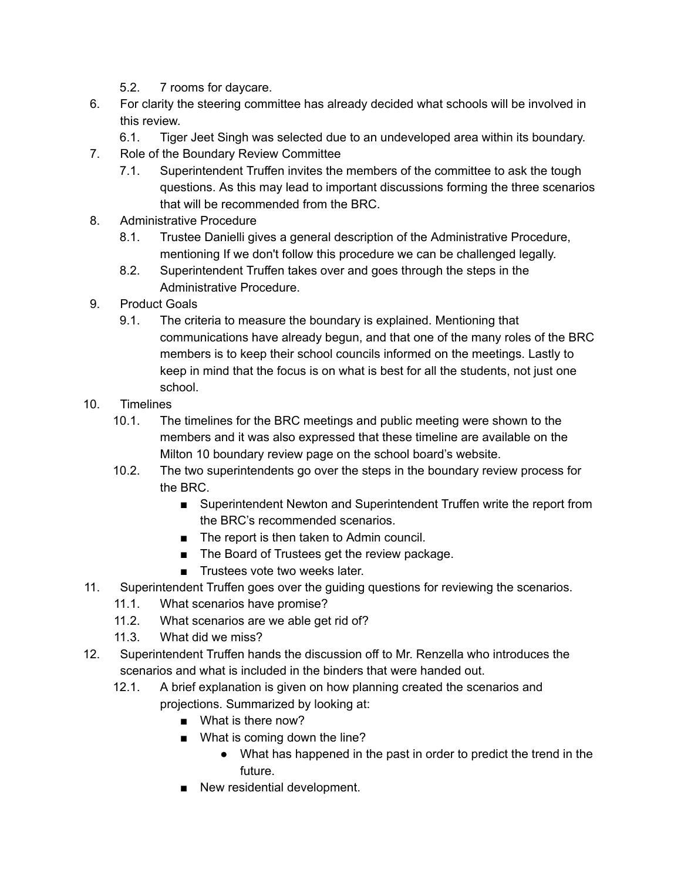- 5.2. 7 rooms for daycare.
- 6. For clarity the steering committee has already decided what schools will be involved in this review.
	- 6.1. Tiger Jeet Singh was selected due to an undeveloped area within its boundary.
- 7. Role of the Boundary Review Committee
	- 7.1. Superintendent Truffen invites the members of the committee to ask the tough questions. As this may lead to important discussions forming the three scenarios that will be recommended from the BRC.
- 8. Administrative Procedure
	- 8.1. Trustee Danielli gives a general description of the Administrative Procedure, mentioning If we don't follow this procedure we can be challenged legally.
	- 8.2. Superintendent Truffen takes over and goes through the steps in the Administrative Procedure.
- 9. Product Goals
	- 9.1. The criteria to measure the boundary is explained. Mentioning that communications have already begun, and that one of the many roles of the BRC members is to keep their school councils informed on the meetings. Lastly to keep in mind that the focus is on what is best for all the students, not just one school.
- 10. Timelines
	- 10.1. The timelines for the BRC meetings and public meeting were shown to the members and it was also expressed that these timeline are available on the Milton 10 boundary review page on the school board's website.
	- 10.2. The two superintendents go over the steps in the boundary review process for the BRC.
		- Superintendent Newton and Superintendent Truffen write the report from the BRC's recommended scenarios.
		- The report is then taken to Admin council.
		- The Board of Trustees get the review package.
		- Trustees vote two weeks later.
- 11. Superintendent Truffen goes over the guiding questions for reviewing the scenarios.
	- 11.1. What scenarios have promise?
	- 11.2. What scenarios are we able get rid of?
	- 11.3. What did we miss?
- 12. Superintendent Truffen hands the discussion off to Mr. Renzella who introduces the scenarios and what is included in the binders that were handed out.
	- 12.1. A brief explanation is given on how planning created the scenarios and projections. Summarized by looking at:
		- What is there now?
		- What is coming down the line?
			- What has happened in the past in order to predict the trend in the future.
		- New residential development.